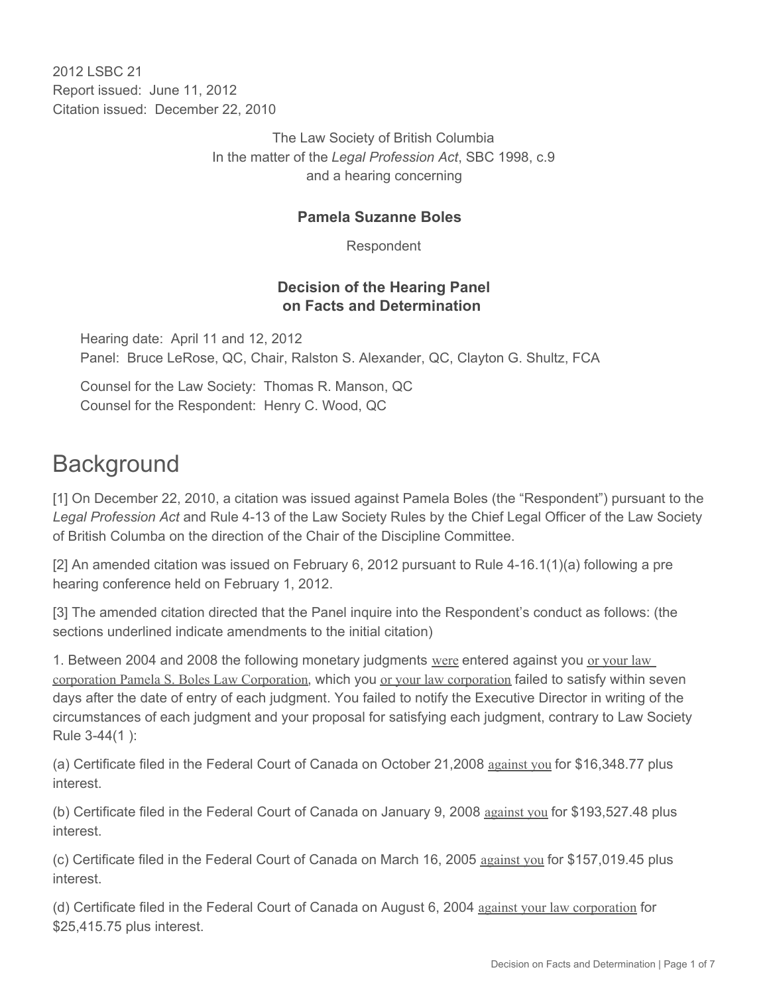2012 LSBC 21 Report issued: June 11, 2012 Citation issued: December 22, 2010

> The Law Society of British Columbia In the matter of the *Legal Profession Act*, SBC 1998, c.9 and a hearing concerning

#### **Pamela Suzanne Boles**

Respondent

#### **Decision of the Hearing Panel on Facts and Determination**

Hearing date: April 11 and 12, 2012 Panel: Bruce LeRose, QC, Chair, Ralston S. Alexander, QC, Clayton G. Shultz, FCA

Counsel for the Law Society: Thomas R. Manson, QC Counsel for the Respondent: Henry C. Wood, QC

# **Background**

[1] On December 22, 2010, a citation was issued against Pamela Boles (the "Respondent") pursuant to the *Legal Profession Act* and Rule 4-13 of the Law Society Rules by the Chief Legal Officer of the Law Society of British Columba on the direction of the Chair of the Discipline Committee.

[2] An amended citation was issued on February 6, 2012 pursuant to Rule 4-16.1(1)(a) following a pre hearing conference held on February 1, 2012.

[3] The amended citation directed that the Panel inquire into the Respondent's conduct as follows: (the sections underlined indicate amendments to the initial citation)

1. Between 2004 and 2008 the following monetary judgments were entered against you or your law corporation Pamela S. Boles Law Corporation, which you or your law corporation failed to satisfy within seven days after the date of entry of each judgment. You failed to notify the Executive Director in writing of the circumstances of each judgment and your proposal for satisfying each judgment, contrary to Law Society Rule 3-44(1 ):

(a) Certificate filed in the Federal Court of Canada on October 21,2008 against you for \$16,348.77 plus interest.

(b) Certificate filed in the Federal Court of Canada on January 9, 2008 against you for \$193,527.48 plus interest.

(c) Certificate filed in the Federal Court of Canada on March 16, 2005 against you for \$157,019.45 plus interest.

(d) Certificate filed in the Federal Court of Canada on August 6, 2004 against your law corporation for \$25,415.75 plus interest.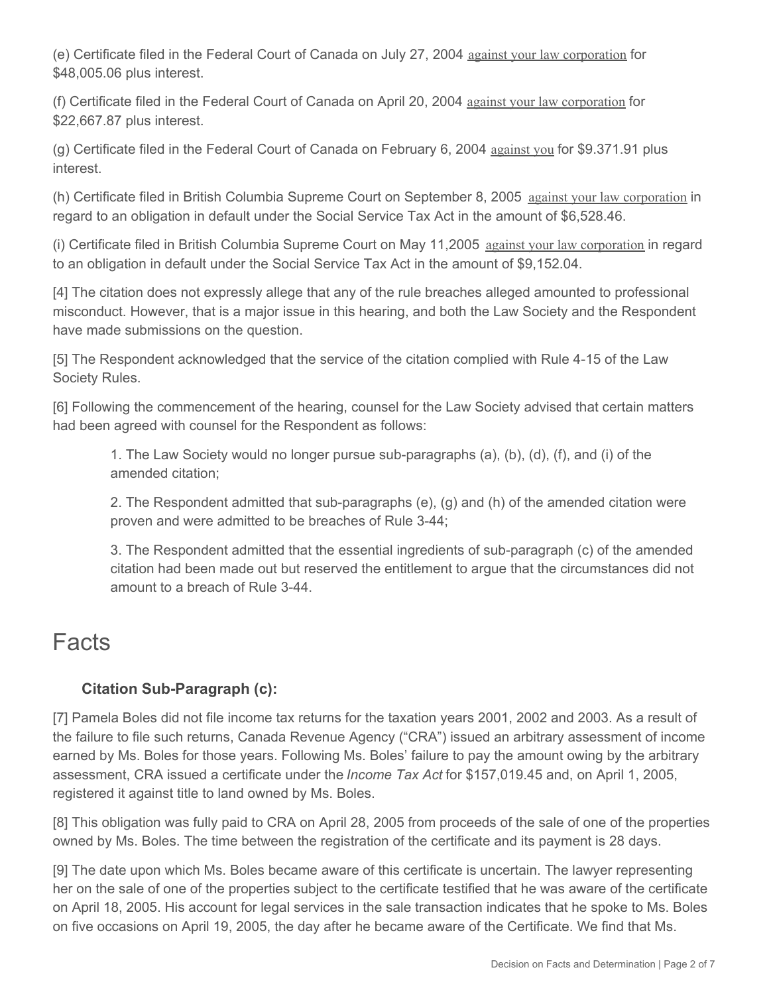(e) Certificate filed in the Federal Court of Canada on July 27, 2004 against your law corporation for \$48,005.06 plus interest.

(f) Certificate filed in the Federal Court of Canada on April 20, 2004 against your law corporation for \$22,667.87 plus interest.

(g) Certificate filed in the Federal Court of Canada on February 6, 2004 against you for \$9.371.91 plus interest.

(h) Certificate filed in British Columbia Supreme Court on September 8, 2005 against your law corporation in regard to an obligation in default under the Social Service Tax Act in the amount of \$6,528.46.

(i) Certificate filed in British Columbia Supreme Court on May 11,2005 against your law corporation in regard to an obligation in default under the Social Service Tax Act in the amount of \$9,152.04.

[4] The citation does not expressly allege that any of the rule breaches alleged amounted to professional misconduct. However, that is a major issue in this hearing, and both the Law Society and the Respondent have made submissions on the question.

[5] The Respondent acknowledged that the service of the citation complied with Rule 4-15 of the Law Society Rules.

[6] Following the commencement of the hearing, counsel for the Law Society advised that certain matters had been agreed with counsel for the Respondent as follows:

1. The Law Society would no longer pursue sub-paragraphs (a), (b), (d), (f), and (i) of the amended citation;

2. The Respondent admitted that sub-paragraphs (e), (g) and (h) of the amended citation were proven and were admitted to be breaches of Rule 3-44;

3. The Respondent admitted that the essential ingredients of sub-paragraph (c) of the amended citation had been made out but reserved the entitlement to argue that the circumstances did not amount to a breach of Rule 3-44.

# Facts

## **Citation Sub-Paragraph (c):**

[7] Pamela Boles did not file income tax returns for the taxation years 2001, 2002 and 2003. As a result of the failure to file such returns, Canada Revenue Agency ("CRA") issued an arbitrary assessment of income earned by Ms. Boles for those years. Following Ms. Boles' failure to pay the amount owing by the arbitrary assessment, CRA issued a certificate under the *Income Tax Act* for \$157,019.45 and, on April 1, 2005, registered it against title to land owned by Ms. Boles.

[8] This obligation was fully paid to CRA on April 28, 2005 from proceeds of the sale of one of the properties owned by Ms. Boles. The time between the registration of the certificate and its payment is 28 days.

[9] The date upon which Ms. Boles became aware of this certificate is uncertain. The lawyer representing her on the sale of one of the properties subject to the certificate testified that he was aware of the certificate on April 18, 2005. His account for legal services in the sale transaction indicates that he spoke to Ms. Boles on five occasions on April 19, 2005, the day after he became aware of the Certificate. We find that Ms.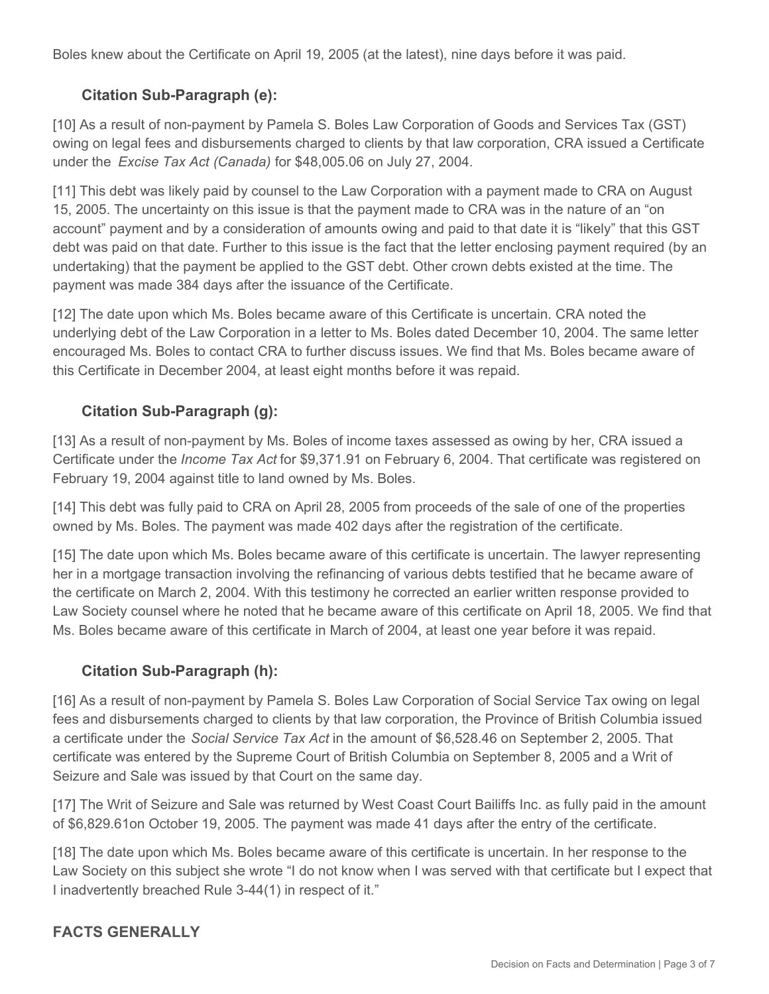Boles knew about the Certificate on April 19, 2005 (at the latest), nine days before it was paid.

### **Citation Sub-Paragraph (e):**

[10] As a result of non-payment by Pamela S. Boles Law Corporation of Goods and Services Tax (GST) owing on legal fees and disbursements charged to clients by that law corporation, CRA issued a Certificate under the *Excise Tax Act (Canada)* for \$48,005.06 on July 27, 2004.

[11] This debt was likely paid by counsel to the Law Corporation with a payment made to CRA on August 15, 2005. The uncertainty on this issue is that the payment made to CRA was in the nature of an "on account" payment and by a consideration of amounts owing and paid to that date it is "likely" that this GST debt was paid on that date. Further to this issue is the fact that the letter enclosing payment required (by an undertaking) that the payment be applied to the GST debt. Other crown debts existed at the time. The payment was made 384 days after the issuance of the Certificate.

[12] The date upon which Ms. Boles became aware of this Certificate is uncertain. CRA noted the underlying debt of the Law Corporation in a letter to Ms. Boles dated December 10, 2004. The same letter encouraged Ms. Boles to contact CRA to further discuss issues. We find that Ms. Boles became aware of this Certificate in December 2004, at least eight months before it was repaid.

### **Citation Sub-Paragraph (g):**

[13] As a result of non-payment by Ms. Boles of income taxes assessed as owing by her, CRA issued a Certificate under the *Income Tax Act* for \$9,371.91 on February 6, 2004. That certificate was registered on February 19, 2004 against title to land owned by Ms. Boles.

[14] This debt was fully paid to CRA on April 28, 2005 from proceeds of the sale of one of the properties owned by Ms. Boles. The payment was made 402 days after the registration of the certificate.

[15] The date upon which Ms. Boles became aware of this certificate is uncertain. The lawyer representing her in a mortgage transaction involving the refinancing of various debts testified that he became aware of the certificate on March 2, 2004. With this testimony he corrected an earlier written response provided to Law Society counsel where he noted that he became aware of this certificate on April 18, 2005. We find that Ms. Boles became aware of this certificate in March of 2004, at least one year before it was repaid.

#### **Citation Sub-Paragraph (h):**

[16] As a result of non-payment by Pamela S. Boles Law Corporation of Social Service Tax owing on legal fees and disbursements charged to clients by that law corporation, the Province of British Columbia issued a certificate under the *Social Service Tax Act* in the amount of \$6,528.46 on September 2, 2005. That certificate was entered by the Supreme Court of British Columbia on September 8, 2005 and a Writ of Seizure and Sale was issued by that Court on the same day.

[17] The Writ of Seizure and Sale was returned by West Coast Court Bailiffs Inc. as fully paid in the amount of \$6,829.61on October 19, 2005. The payment was made 41 days after the entry of the certificate.

[18] The date upon which Ms. Boles became aware of this certificate is uncertain. In her response to the Law Society on this subject she wrote "I do not know when I was served with that certificate but I expect that I inadvertently breached Rule 3-44(1) in respect of it."

#### **FACTS GENERALLY**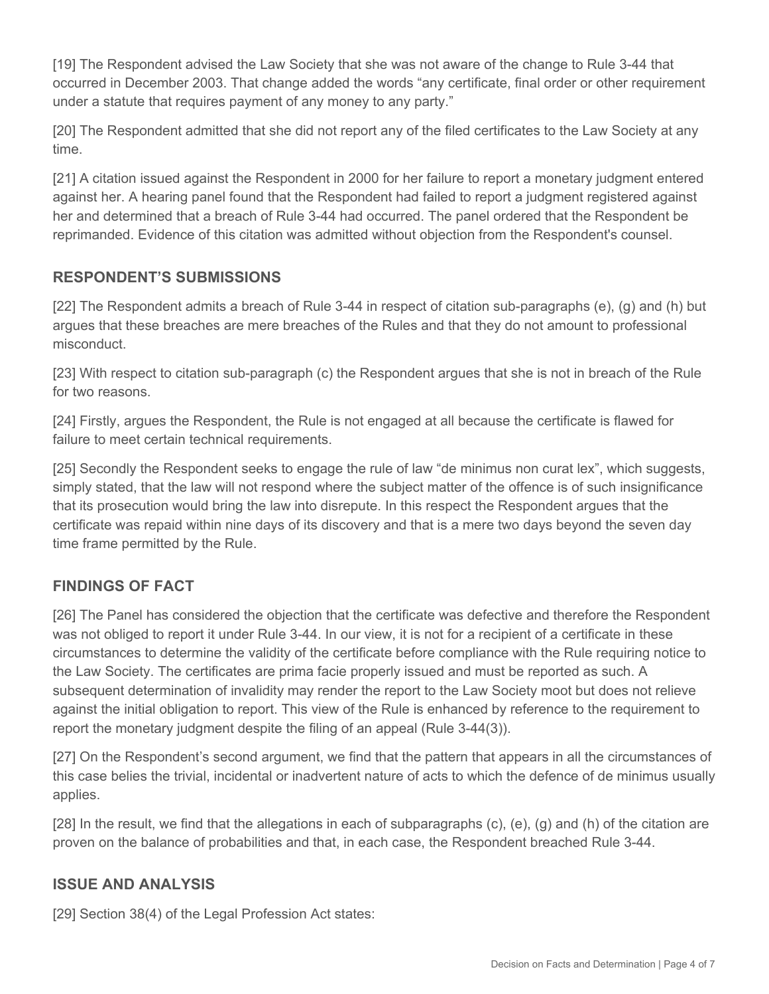[19] The Respondent advised the Law Society that she was not aware of the change to Rule 3-44 that occurred in December 2003. That change added the words "any certificate, final order or other requirement under a statute that requires payment of any money to any party."

[20] The Respondent admitted that she did not report any of the filed certificates to the Law Society at any time.

[21] A citation issued against the Respondent in 2000 for her failure to report a monetary judgment entered against her. A hearing panel found that the Respondent had failed to report a judgment registered against her and determined that a breach of Rule 3-44 had occurred. The panel ordered that the Respondent be reprimanded. Evidence of this citation was admitted without objection from the Respondent's counsel.

### **RESPONDENT'S SUBMISSIONS**

[22] The Respondent admits a breach of Rule 3-44 in respect of citation sub-paragraphs (e), (g) and (h) but argues that these breaches are mere breaches of the Rules and that they do not amount to professional misconduct.

[23] With respect to citation sub-paragraph (c) the Respondent argues that she is not in breach of the Rule for two reasons.

[24] Firstly, argues the Respondent, the Rule is not engaged at all because the certificate is flawed for failure to meet certain technical requirements.

[25] Secondly the Respondent seeks to engage the rule of law "de minimus non curat lex", which suggests, simply stated, that the law will not respond where the subject matter of the offence is of such insignificance that its prosecution would bring the law into disrepute. In this respect the Respondent argues that the certificate was repaid within nine days of its discovery and that is a mere two days beyond the seven day time frame permitted by the Rule.

## **FINDINGS OF FACT**

[26] The Panel has considered the objection that the certificate was defective and therefore the Respondent was not obliged to report it under Rule 3-44. In our view, it is not for a recipient of a certificate in these circumstances to determine the validity of the certificate before compliance with the Rule requiring notice to the Law Society. The certificates are prima facie properly issued and must be reported as such. A subsequent determination of invalidity may render the report to the Law Society moot but does not relieve against the initial obligation to report. This view of the Rule is enhanced by reference to the requirement to report the monetary judgment despite the filing of an appeal (Rule 3-44(3)).

[27] On the Respondent's second argument, we find that the pattern that appears in all the circumstances of this case belies the trivial, incidental or inadvertent nature of acts to which the defence of de minimus usually applies.

[28] In the result, we find that the allegations in each of subparagraphs (c), (e), (g) and (h) of the citation are proven on the balance of probabilities and that, in each case, the Respondent breached Rule 3-44.

#### **ISSUE AND ANALYSIS**

[29] Section 38(4) of the Legal Profession Act states: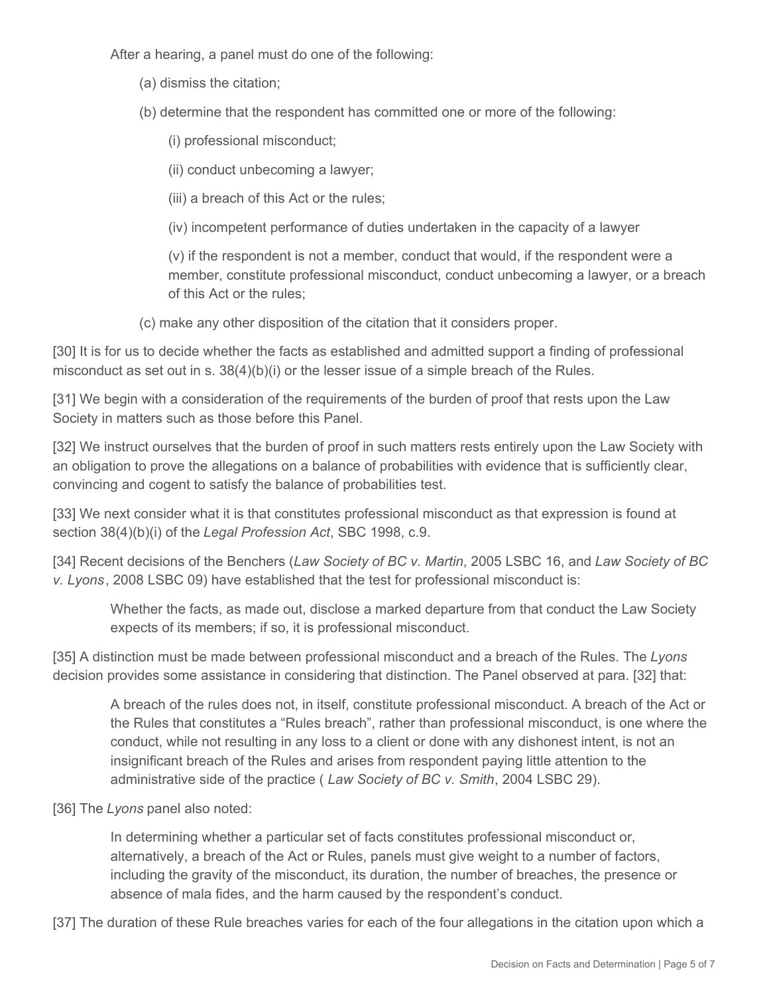After a hearing, a panel must do one of the following:

- (a) dismiss the citation;
- (b) determine that the respondent has committed one or more of the following:
	- (i) professional misconduct;
	- (ii) conduct unbecoming a lawyer;
	- (iii) a breach of this Act or the rules;
	- (iv) incompetent performance of duties undertaken in the capacity of a lawyer

(v) if the respondent is not a member, conduct that would, if the respondent were a member, constitute professional misconduct, conduct unbecoming a lawyer, or a breach of this Act or the rules;

(c) make any other disposition of the citation that it considers proper.

[30] It is for us to decide whether the facts as established and admitted support a finding of professional misconduct as set out in s.  $38(4)(b)(i)$  or the lesser issue of a simple breach of the Rules.

[31] We begin with a consideration of the requirements of the burden of proof that rests upon the Law Society in matters such as those before this Panel.

[32] We instruct ourselves that the burden of proof in such matters rests entirely upon the Law Society with an obligation to prove the allegations on a balance of probabilities with evidence that is sufficiently clear, convincing and cogent to satisfy the balance of probabilities test.

[33] We next consider what it is that constitutes professional misconduct as that expression is found at section 38(4)(b)(i) of the *Legal Profession Act*, SBC 1998, c.9.

[34] Recent decisions of the Benchers (*Law Society of BC v. Martin*, 2005 LSBC 16, and *Law Society of BC v. Lyons*, 2008 LSBC 09) have established that the test for professional misconduct is:

Whether the facts, as made out, disclose a marked departure from that conduct the Law Society expects of its members; if so, it is professional misconduct.

[35] A distinction must be made between professional misconduct and a breach of the Rules. The *Lyons*  decision provides some assistance in considering that distinction. The Panel observed at para. [32] that:

A breach of the rules does not, in itself, constitute professional misconduct. A breach of the Act or the Rules that constitutes a "Rules breach", rather than professional misconduct, is one where the conduct, while not resulting in any loss to a client or done with any dishonest intent, is not an insignificant breach of the Rules and arises from respondent paying little attention to the administrative side of the practice ( *Law Society of BC v. Smith*, 2004 LSBC 29).

[36] The *Lyons* panel also noted:

In determining whether a particular set of facts constitutes professional misconduct or, alternatively, a breach of the Act or Rules, panels must give weight to a number of factors, including the gravity of the misconduct, its duration, the number of breaches, the presence or absence of mala fides, and the harm caused by the respondent's conduct.

[37] The duration of these Rule breaches varies for each of the four allegations in the citation upon which a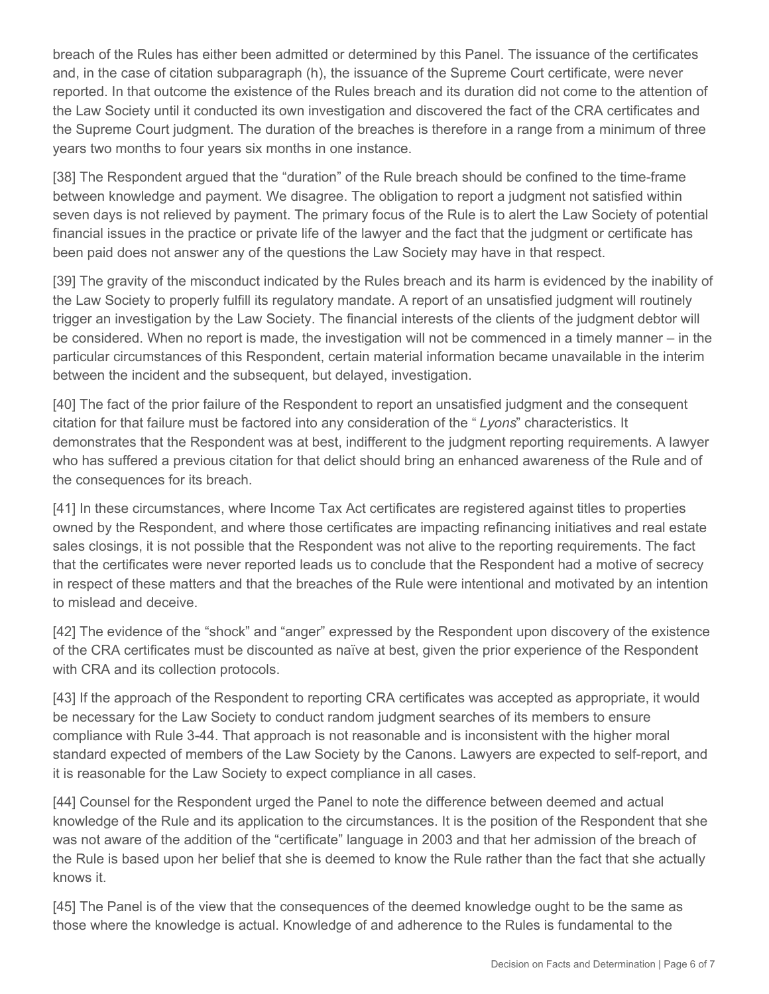breach of the Rules has either been admitted or determined by this Panel. The issuance of the certificates and, in the case of citation subparagraph (h), the issuance of the Supreme Court certificate, were never reported. In that outcome the existence of the Rules breach and its duration did not come to the attention of the Law Society until it conducted its own investigation and discovered the fact of the CRA certificates and the Supreme Court judgment. The duration of the breaches is therefore in a range from a minimum of three years two months to four years six months in one instance.

[38] The Respondent argued that the "duration" of the Rule breach should be confined to the time-frame between knowledge and payment. We disagree. The obligation to report a judgment not satisfied within seven days is not relieved by payment. The primary focus of the Rule is to alert the Law Society of potential financial issues in the practice or private life of the lawyer and the fact that the judgment or certificate has been paid does not answer any of the questions the Law Society may have in that respect.

[39] The gravity of the misconduct indicated by the Rules breach and its harm is evidenced by the inability of the Law Society to properly fulfill its regulatory mandate. A report of an unsatisfied judgment will routinely trigger an investigation by the Law Society. The financial interests of the clients of the judgment debtor will be considered. When no report is made, the investigation will not be commenced in a timely manner – in the particular circumstances of this Respondent, certain material information became unavailable in the interim between the incident and the subsequent, but delayed, investigation.

[40] The fact of the prior failure of the Respondent to report an unsatisfied judgment and the consequent citation for that failure must be factored into any consideration of the " *Lyons*" characteristics. It demonstrates that the Respondent was at best, indifferent to the judgment reporting requirements. A lawyer who has suffered a previous citation for that delict should bring an enhanced awareness of the Rule and of the consequences for its breach.

[41] In these circumstances, where Income Tax Act certificates are registered against titles to properties owned by the Respondent, and where those certificates are impacting refinancing initiatives and real estate sales closings, it is not possible that the Respondent was not alive to the reporting requirements. The fact that the certificates were never reported leads us to conclude that the Respondent had a motive of secrecy in respect of these matters and that the breaches of the Rule were intentional and motivated by an intention to mislead and deceive.

[42] The evidence of the "shock" and "anger" expressed by the Respondent upon discovery of the existence of the CRA certificates must be discounted as naïve at best, given the prior experience of the Respondent with CRA and its collection protocols.

[43] If the approach of the Respondent to reporting CRA certificates was accepted as appropriate, it would be necessary for the Law Society to conduct random judgment searches of its members to ensure compliance with Rule 3-44. That approach is not reasonable and is inconsistent with the higher moral standard expected of members of the Law Society by the Canons. Lawyers are expected to self-report, and it is reasonable for the Law Society to expect compliance in all cases.

[44] Counsel for the Respondent urged the Panel to note the difference between deemed and actual knowledge of the Rule and its application to the circumstances. It is the position of the Respondent that she was not aware of the addition of the "certificate" language in 2003 and that her admission of the breach of the Rule is based upon her belief that she is deemed to know the Rule rather than the fact that she actually knows it.

[45] The Panel is of the view that the consequences of the deemed knowledge ought to be the same as those where the knowledge is actual. Knowledge of and adherence to the Rules is fundamental to the